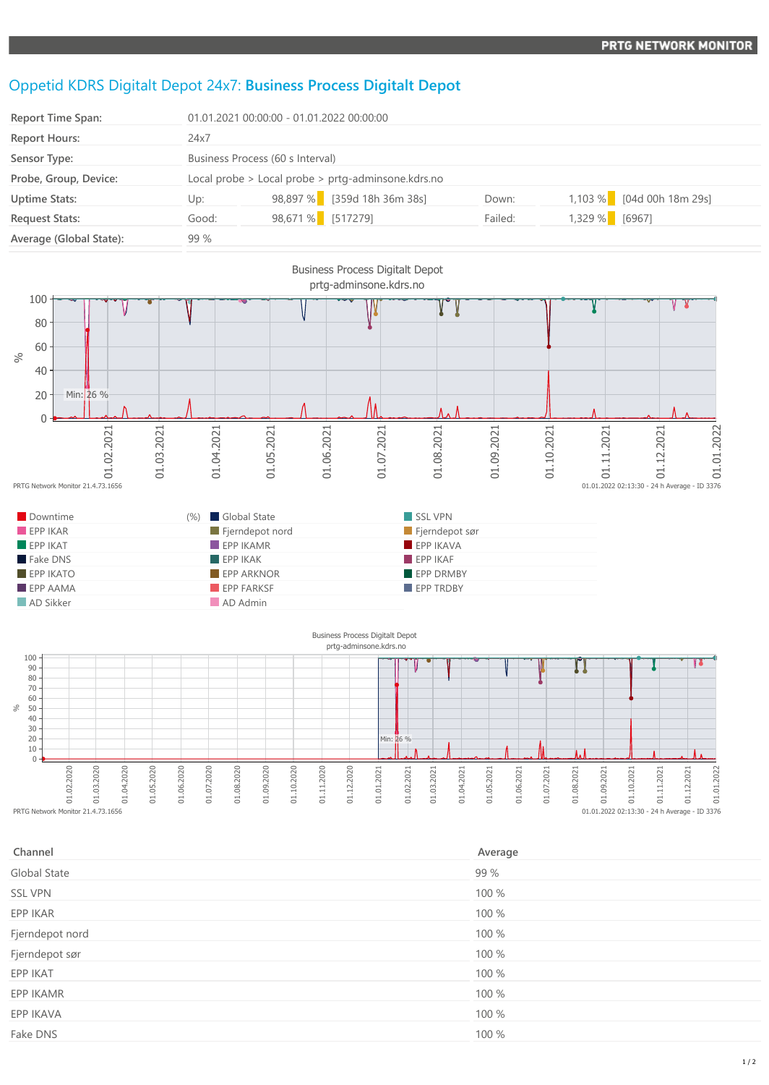## Oppetid KDRS Digitalt Depot 24x7: **Business Process Digitalt Depot**

| <b>Report Time Span:</b> | 01.01.2021 00:00:00 - 01.01.2022 00:00:00          |                   |                             |         |                |                           |
|--------------------------|----------------------------------------------------|-------------------|-----------------------------|---------|----------------|---------------------------|
| <b>Report Hours:</b>     | 24x7                                               |                   |                             |         |                |                           |
| Sensor Type:             | Business Process (60 s Interval)                   |                   |                             |         |                |                           |
| Probe, Group, Device:    | Local probe > Local probe > prtg-adminsone.kdrs.no |                   |                             |         |                |                           |
| <b>Uptime Stats:</b>     | Up:                                                |                   | 98,897 % [359d 18h 36m 38s] | Down:   |                | 1,103 % [04d 00h 18m 29s] |
| <b>Request Stats:</b>    | Good:                                              | 98,671 % [517279] |                             | Failed: | 1,329 % [6967] |                           |
| Average (Global State):  | 99 %                                               |                   |                             |         |                |                           |





| Channel         | Average |
|-----------------|---------|
| Global State    | 99 %    |
| <b>SSL VPN</b>  | 100 %   |
| EPP IKAR        | 100 %   |
| Fjerndepot nord | 100 %   |
| Fjerndepot sør  | 100 %   |
| EPP IKAT        | 100 %   |
| EPP IKAMR       | 100 %   |
| EPP IKAVA       | 100 %   |
| Fake DNS        | 100 %   |
|                 |         |